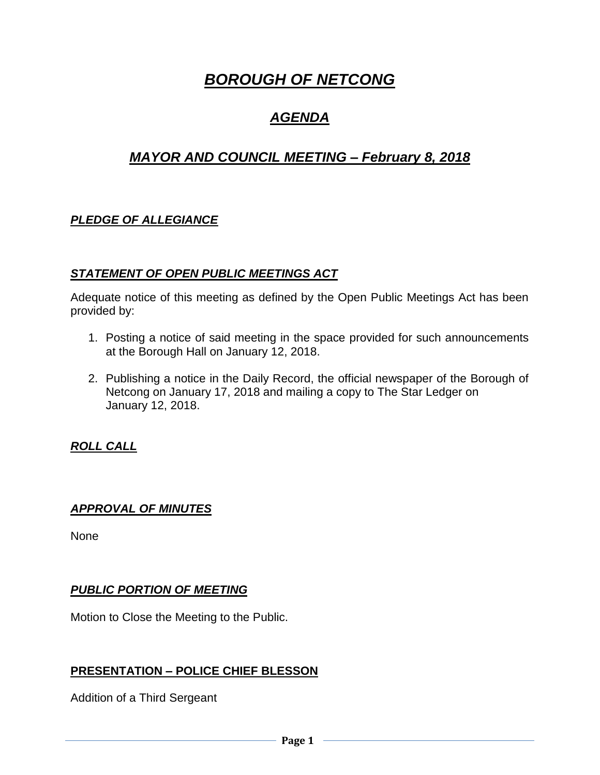# *BOROUGH OF NETCONG*

## *AGENDA*

## *MAYOR AND COUNCIL MEETING – February 8, 2018*

## *PLEDGE OF ALLEGIANCE*

#### *STATEMENT OF OPEN PUBLIC MEETINGS ACT*

Adequate notice of this meeting as defined by the Open Public Meetings Act has been provided by:

- 1. Posting a notice of said meeting in the space provided for such announcements at the Borough Hall on January 12, 2018.
- 2. Publishing a notice in the Daily Record, the official newspaper of the Borough of Netcong on January 17, 2018 and mailing a copy to The Star Ledger on January 12, 2018.

#### *ROLL CALL*

#### *APPROVAL OF MINUTES*

None

#### *PUBLIC PORTION OF MEETING*

Motion to Close the Meeting to the Public.

#### **PRESENTATION – POLICE CHIEF BLESSON**

Addition of a Third Sergeant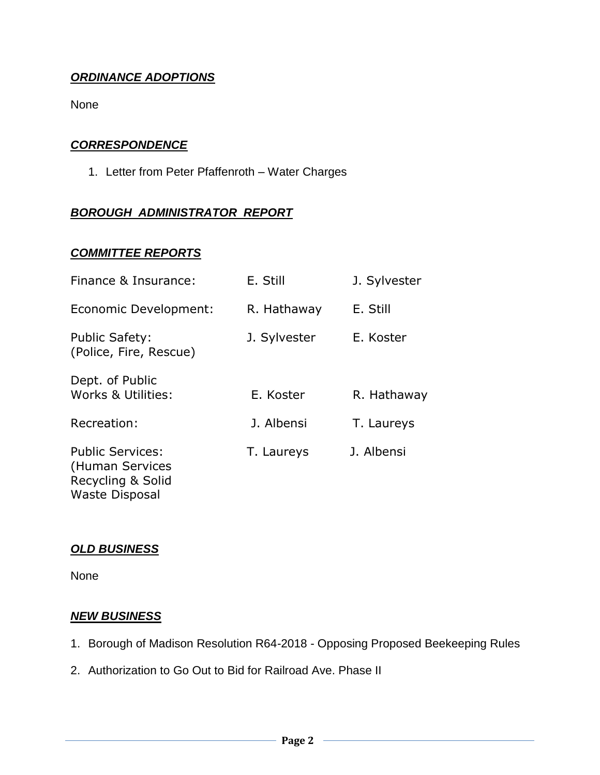### *ORDINANCE ADOPTIONS*

None

#### *CORRESPONDENCE*

1. Letter from Peter Pfaffenroth – Water Charges

### *BOROUGH ADMINISTRATOR REPORT*

#### *COMMITTEE REPORTS*

| Finance & Insurance:                                                                     | E. Still     | J. Sylvester |
|------------------------------------------------------------------------------------------|--------------|--------------|
| Economic Development:                                                                    | R. Hathaway  | E. Still     |
| <b>Public Safety:</b><br>(Police, Fire, Rescue)                                          | J. Sylvester | E. Koster    |
| Dept. of Public<br>Works & Utilities:                                                    | E. Koster    | R. Hathaway  |
| Recreation:                                                                              | J. Albensi   | T. Laureys   |
| <b>Public Services:</b><br>(Human Services<br>Recycling & Solid<br><b>Waste Disposal</b> | T. Laureys   | J. Albensi   |

#### *OLD BUSINESS*

None

#### *NEW BUSINESS*

- 1. Borough of Madison Resolution R64-2018 Opposing Proposed Beekeeping Rules
- 2. Authorization to Go Out to Bid for Railroad Ave. Phase II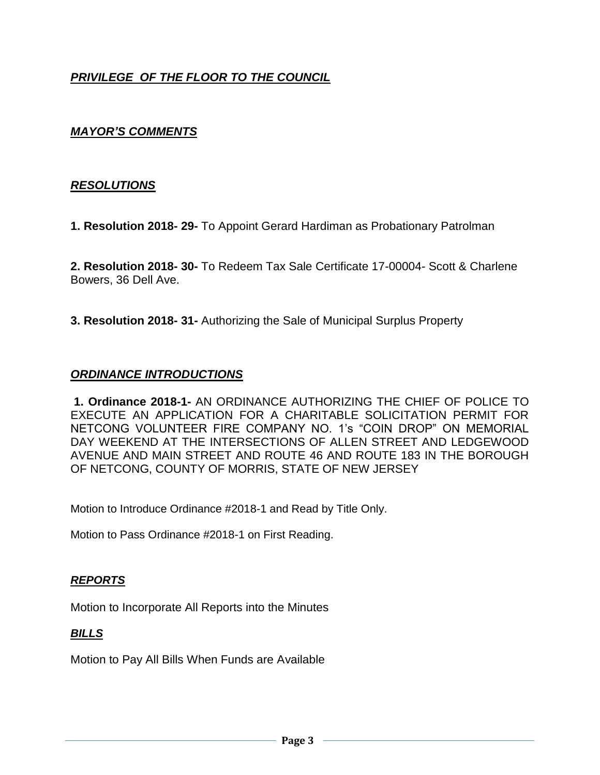## *PRIVILEGE OF THE FLOOR TO THE COUNCIL*

### *MAYOR'S COMMENTS*

#### *RESOLUTIONS*

**1. Resolution 2018- 29-** To Appoint Gerard Hardiman as Probationary Patrolman

**2. Resolution 2018- 30-** To Redeem Tax Sale Certificate 17-00004- Scott & Charlene Bowers, 36 Dell Ave.

**3. Resolution 2018- 31-** Authorizing the Sale of Municipal Surplus Property

#### *ORDINANCE INTRODUCTIONS*

**1. Ordinance 2018-1-** AN ORDINANCE AUTHORIZING THE CHIEF OF POLICE TO EXECUTE AN APPLICATION FOR A CHARITABLE SOLICITATION PERMIT FOR NETCONG VOLUNTEER FIRE COMPANY NO. 1's "COIN DROP" ON MEMORIAL DAY WEEKEND AT THE INTERSECTIONS OF ALLEN STREET AND LEDGEWOOD AVENUE AND MAIN STREET AND ROUTE 46 AND ROUTE 183 IN THE BOROUGH OF NETCONG, COUNTY OF MORRIS, STATE OF NEW JERSEY

Motion to Introduce Ordinance #2018-1 and Read by Title Only.

Motion to Pass Ordinance #2018-1 on First Reading.

#### *REPORTS*

Motion to Incorporate All Reports into the Minutes

#### *BILLS*

Motion to Pay All Bills When Funds are Available